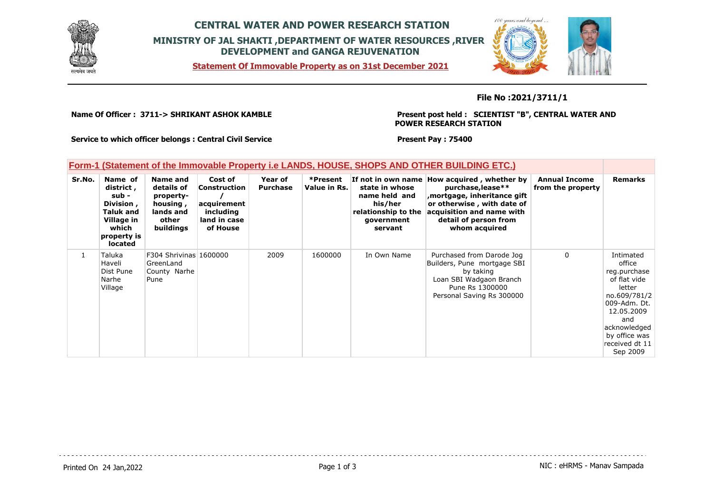

## **CENTRAL WATER AND POWER RESEARCH STATION MINISTRY OF JAL SHAKTI ,DEPARTMENT OF WATER RESOURCES ,RIVER DEVELOPMENT and GANGA REJUVENATION**

**Statement Of Immovable Property as on 31st December 2021**



## **File No :2021/3711/1**

**Name Of Officer : 3711-> SHRIKANT ASHOK KAMBLE** 

**Present post held : SCIENTIST "B", CENTRAL WATER AND POWER RESEARCH STATION**

**Service to which officer belongs : Central Civil Service**

**Present Pay : 75400**

|  |  | Form-1 (Statement of the Immovable Property i.e LANDS, HOUSE, SHOPS AND OTHER BUILDING ETC.) |  |
|--|--|----------------------------------------------------------------------------------------------|--|
|  |  |                                                                                              |  |

| Sr.No. | Name of<br>district,<br>sub -<br>Division,<br><b>Taluk and</b><br>Village in<br>which<br>property is<br><b>located</b> | Name and<br>details of<br>property-<br>housing,<br>lands and<br>other<br>buildings | Cost of<br><b>Construction</b><br>acquirement<br>including<br>land in case<br>of House | Year of<br><b>Purchase</b> | *Present<br>Value in Rs. | state in whose<br>name held and<br>his/her<br>relationship to the<br>government<br>servant | If not in own name How acquired, whether by<br>purchase, lease**<br>, mortgage, inheritance gift<br>or otherwise, with date of<br>acquisition and name with<br>detail of person from<br>whom acquired | <b>Annual Income</b><br>from the property | <b>Remarks</b>                                                                                                                                                                    |
|--------|------------------------------------------------------------------------------------------------------------------------|------------------------------------------------------------------------------------|----------------------------------------------------------------------------------------|----------------------------|--------------------------|--------------------------------------------------------------------------------------------|-------------------------------------------------------------------------------------------------------------------------------------------------------------------------------------------------------|-------------------------------------------|-----------------------------------------------------------------------------------------------------------------------------------------------------------------------------------|
|        | Taluka<br>Haveli<br>Dist Pune<br>Narhe<br>Village                                                                      | F304 Shrivinas 1600000<br>GreenLand<br>County Narhe<br>Pune                        |                                                                                        | 2009                       | 1600000                  | In Own Name                                                                                | Purchased from Darode Jog<br>Builders, Pune mortgage SBI<br>by taking<br>Loan SBI Wadgaon Branch<br>Pune Rs 1300000<br>Personal Saving Rs 300000                                                      | 0                                         | Intimated<br>office<br>reg.purchase<br>of flat vide<br>letter<br>no.609/781/2<br>009-Adm. Dt.<br>12.05.2009<br>and<br>acknowledged<br>by office was<br>received dt 11<br>Sep 2009 |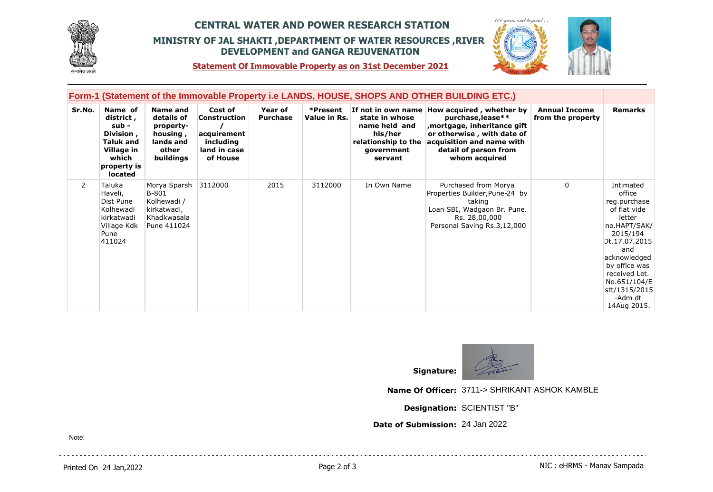

## **CENTRAL WATER AND POWER RESEARCH STATION MINISTRY OF JAL SHAKTI ,DEPARTMENT OF WATER RESOURCES ,RIVER DEVELOPMENT and GANGA REJUVENATION**



**Statement Of Immovable Property as on 31st December 2021**

| Form-1 (Statement of the Immovable Property i.e LANDS, HOUSE, SHOPS AND OTHER BUILDING ETC.) |                                                                                                                 |                                                                                    |                                                                                 |                            |                          |                                                                                            |                                                                                                                                                                                                       |                                           |                                                                                                                                                                                                                                |
|----------------------------------------------------------------------------------------------|-----------------------------------------------------------------------------------------------------------------|------------------------------------------------------------------------------------|---------------------------------------------------------------------------------|----------------------------|--------------------------|--------------------------------------------------------------------------------------------|-------------------------------------------------------------------------------------------------------------------------------------------------------------------------------------------------------|-------------------------------------------|--------------------------------------------------------------------------------------------------------------------------------------------------------------------------------------------------------------------------------|
| Sr.No.                                                                                       | Name of<br>district,<br>sub -<br>Division,<br><b>Taluk and</b><br>Village in<br>which<br>property is<br>located | Name and<br>details of<br>property-<br>housing,<br>lands and<br>other<br>buildings | Cost of<br>Construction<br>acquirement<br>including<br>land in case<br>of House | Year of<br><b>Purchase</b> | *Present<br>Value in Rs. | state in whose<br>name held and<br>his/her<br>relationship to the<br>government<br>servant | If not in own name How acquired, whether by<br>purchase, lease**<br>, mortgage, inheritance gift<br>or otherwise, with date of<br>acquisition and name with<br>detail of person from<br>whom acquired | <b>Annual Income</b><br>from the property | <b>Remarks</b>                                                                                                                                                                                                                 |
| $\mathbf{2}^{\prime}$                                                                        | Taluka<br>Haveli,<br>Dist Pune<br>Kolhewadi<br>kirkatwadi<br>Village Kdk<br>Pune<br>411024                      | Morya Sparsh<br>B-801<br>Kolhewadi /<br>kirkatwadi,<br>Khadkwasala<br>Pune 411024  | 3112000                                                                         | 2015                       | 3112000                  | In Own Name                                                                                | Purchased from Morya<br>Properties Builder, Pune-24 by<br>taking<br>Loan SBI, Wadgaon Br. Pune.<br>Rs. 28,00,000<br>Personal Saving Rs.3,12,000                                                       | $\Omega$                                  | Intimated<br>office<br>reg.purchase<br>of flat vide<br>letter<br>no.HAPT/SAK/<br>2015/194<br>Dt.17.07.2015<br>and<br>acknowledged<br>by office was<br>received Let.<br>No.651/104/E<br>stt/1315/2015<br>-Adm dt<br>14Aug 2015. |



**Name Of Officer:** 3711-> SHRIKANT ASHOK KAMBLE

**Designation:** SCIENTIST "B"

**Date of Submission:** 24 Jan 2022

Note: